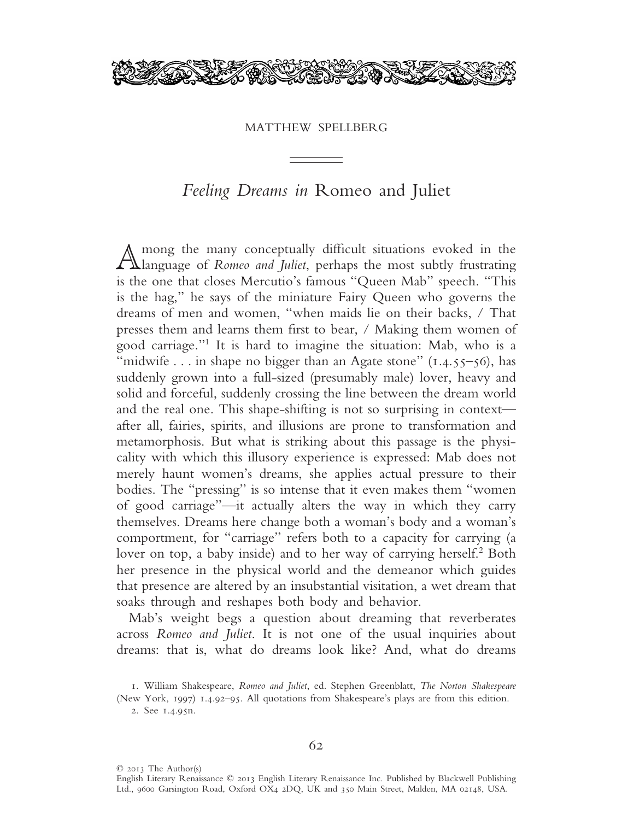

## MATTHEW SPELLBERG

## *Feeling Dreams in* Romeo and Juliet

Among the many conceptually difficult situations evoked in the<br>Language of *Romeo and Juliet*, perhaps the most subtly frustrating is the one that closes Mercutio's famous "Queen Mab" speech. "This is the hag," he says of the miniature Fairy Queen who governs the dreams of men and women, "when maids lie on their backs, / That presses them and learns them first to bear, / Making them women of good carriage."1 It is hard to imagine the situation: Mab, who is a "midwife . . . in shape no bigger than an Agate stone"  $(1.4.55-56)$ , has suddenly grown into a full-sized (presumably male) lover, heavy and solid and forceful, suddenly crossing the line between the dream world and the real one. This shape-shifting is not so surprising in context after all, fairies, spirits, and illusions are prone to transformation and metamorphosis. But what is striking about this passage is the physicality with which this illusory experience is expressed: Mab does not merely haunt women's dreams, she applies actual pressure to their bodies. The "pressing" is so intense that it even makes them "women of good carriage"—it actually alters the way in which they carry themselves. Dreams here change both a woman's body and a woman's comportment, for "carriage" refers both to a capacity for carrying (a lover on top, a baby inside) and to her way of carrying herself.<sup>2</sup> Both her presence in the physical world and the demeanor which guides that presence are altered by an insubstantial visitation, a wet dream that soaks through and reshapes both body and behavior.

Mab's weight begs a question about dreaming that reverberates across *Romeo and Juliet*. It is not one of the usual inquiries about dreams: that is, what do dreams look like? And, what do dreams

© 2013 The Author(s)

<sup>1</sup>. William Shakespeare, *Romeo and Juliet*, ed. Stephen Greenblatt, *The Norton Shakespeare*

<sup>(</sup>New York, 1997) 1.4.92–95. All quotations from Shakespeare's plays are from this edition. 2. See 1.4.95n.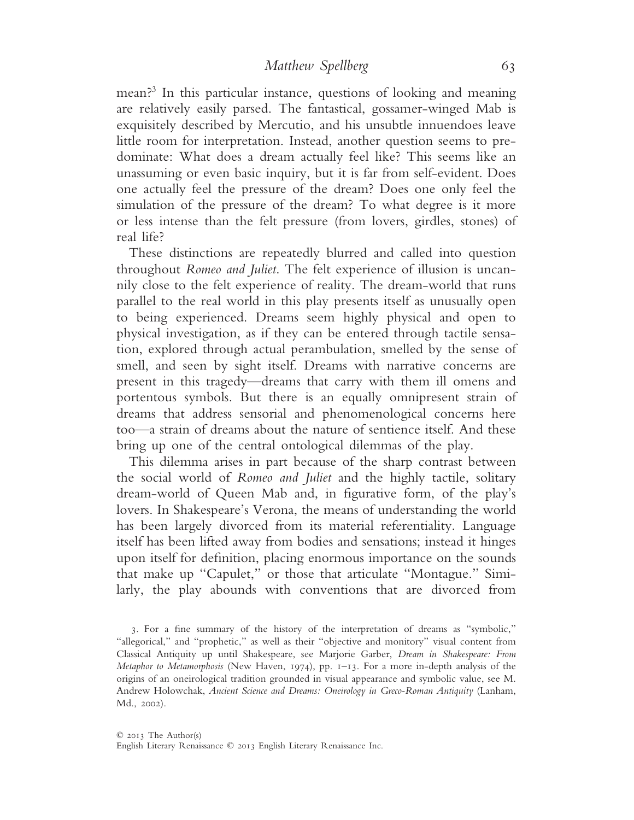mean?3 In this particular instance, questions of looking and meaning are relatively easily parsed. The fantastical, gossamer-winged Mab is exquisitely described by Mercutio, and his unsubtle innuendoes leave little room for interpretation. Instead, another question seems to predominate: What does a dream actually feel like? This seems like an unassuming or even basic inquiry, but it is far from self-evident. Does one actually feel the pressure of the dream? Does one only feel the simulation of the pressure of the dream? To what degree is it more or less intense than the felt pressure (from lovers, girdles, stones) of real life?

These distinctions are repeatedly blurred and called into question throughout *Romeo and Juliet*. The felt experience of illusion is uncannily close to the felt experience of reality. The dream-world that runs parallel to the real world in this play presents itself as unusually open to being experienced. Dreams seem highly physical and open to physical investigation, as if they can be entered through tactile sensation, explored through actual perambulation, smelled by the sense of smell, and seen by sight itself. Dreams with narrative concerns are present in this tragedy—dreams that carry with them ill omens and portentous symbols. But there is an equally omnipresent strain of dreams that address sensorial and phenomenological concerns here too—a strain of dreams about the nature of sentience itself. And these bring up one of the central ontological dilemmas of the play.

This dilemma arises in part because of the sharp contrast between the social world of *Romeo and Juliet* and the highly tactile, solitary dream-world of Queen Mab and, in figurative form, of the play's lovers. In Shakespeare's Verona, the means of understanding the world has been largely divorced from its material referentiality. Language itself has been lifted away from bodies and sensations; instead it hinges upon itself for definition, placing enormous importance on the sounds that make up "Capulet," or those that articulate "Montague." Similarly, the play abounds with conventions that are divorced from

3. For a fine summary of the history of the interpretation of dreams as "symbolic," "allegorical," and "prophetic," as well as their "objective and monitory" visual content from Classical Antiquity up until Shakespeare, see Marjorie Garber, *Dream in Shakespeare: From Metaphor to Metamorphosis* (New Haven, 1974), pp. 1–13. For a more in-depth analysis of the origins of an oneirological tradition grounded in visual appearance and symbolic value, see M. Andrew Holowchak, *Ancient Science and Dreams: Oneirology in Greco-Roman Antiquity* (Lanham, Md., 2002).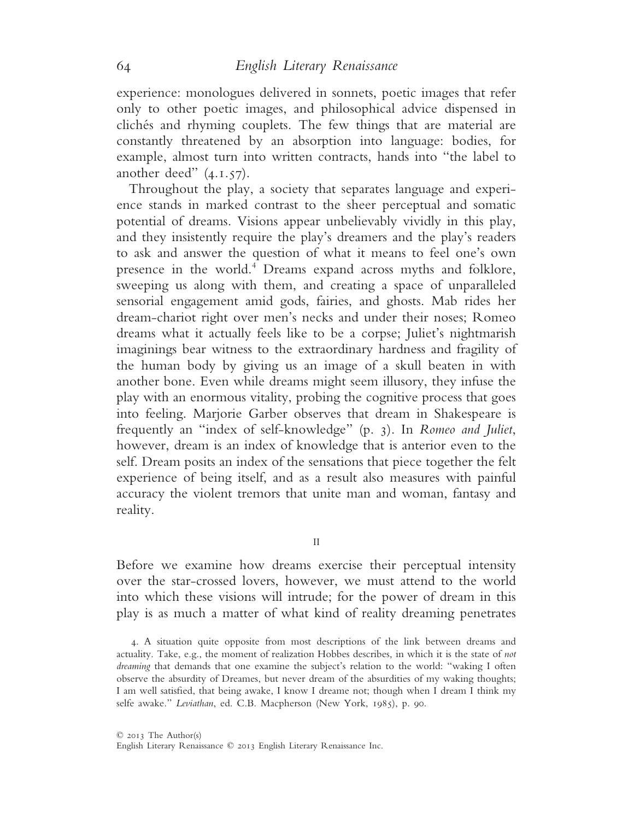experience: monologues delivered in sonnets, poetic images that refer only to other poetic images, and philosophical advice dispensed in clichés and rhyming couplets. The few things that are material are constantly threatened by an absorption into language: bodies, for example, almost turn into written contracts, hands into "the label to another deed" (4.1.57).

Throughout the play, a society that separates language and experience stands in marked contrast to the sheer perceptual and somatic potential of dreams. Visions appear unbelievably vividly in this play, and they insistently require the play's dreamers and the play's readers to ask and answer the question of what it means to feel one's own presence in the world.<sup>4</sup> Dreams expand across myths and folklore, sweeping us along with them, and creating a space of unparalleled sensorial engagement amid gods, fairies, and ghosts. Mab rides her dream-chariot right over men's necks and under their noses; Romeo dreams what it actually feels like to be a corpse; Juliet's nightmarish imaginings bear witness to the extraordinary hardness and fragility of the human body by giving us an image of a skull beaten in with another bone. Even while dreams might seem illusory, they infuse the play with an enormous vitality, probing the cognitive process that goes into feeling. Marjorie Garber observes that dream in Shakespeare is frequently an "index of self-knowledge" (p. 3). In *Romeo and Juliet*, however, dream is an index of knowledge that is anterior even to the self. Dream posits an index of the sensations that piece together the felt experience of being itself, and as a result also measures with painful accuracy the violent tremors that unite man and woman, fantasy and reality.

II

Before we examine how dreams exercise their perceptual intensity over the star-crossed lovers, however, we must attend to the world into which these visions will intrude; for the power of dream in this play is as much a matter of what kind of reality dreaming penetrates

4. A situation quite opposite from most descriptions of the link between dreams and actuality. Take, e.g., the moment of realization Hobbes describes, in which it is the state of *not dreaming* that demands that one examine the subject's relation to the world: "waking I often observe the absurdity of Dreames, but never dream of the absurdities of my waking thoughts; I am well satisfied, that being awake, I know I dreame not; though when I dream I think my selfe awake." *Leviathan*, ed. C.B. Macpherson (New York, 1985), p. 90.

English Literary Renaissance © 2013 English Literary Renaissance Inc.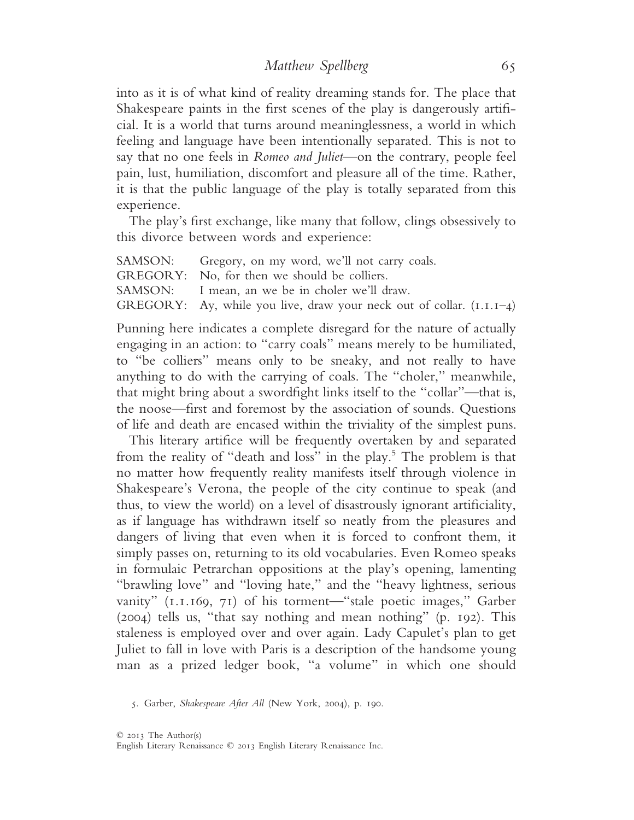into as it is of what kind of reality dreaming stands for. The place that Shakespeare paints in the first scenes of the play is dangerously artificial. It is a world that turns around meaninglessness, a world in which feeling and language have been intentionally separated. This is not to say that no one feels in *Romeo and Juliet*—on the contrary, people feel pain, lust, humiliation, discomfort and pleasure all of the time. Rather, it is that the public language of the play is totally separated from this experience.

The play's first exchange, like many that follow, clings obsessively to this divorce between words and experience:

SAMSON: Gregory, on my word, we'll not carry coals. GREGORY: No, for then we should be colliers. SAMSON: I mean, an we be in choler we'll draw. GREGORY: Ay, while you live, draw your neck out of collar.  $(I.I.I–4)$ 

Punning here indicates a complete disregard for the nature of actually engaging in an action: to "carry coals" means merely to be humiliated, to "be colliers" means only to be sneaky, and not really to have anything to do with the carrying of coals. The "choler," meanwhile, that might bring about a swordfight links itself to the "collar"—that is, the noose—first and foremost by the association of sounds. Questions of life and death are encased within the triviality of the simplest puns.

This literary artifice will be frequently overtaken by and separated from the reality of "death and loss" in the play.<sup>5</sup> The problem is that no matter how frequently reality manifests itself through violence in Shakespeare's Verona, the people of the city continue to speak (and thus, to view the world) on a level of disastrously ignorant artificiality, as if language has withdrawn itself so neatly from the pleasures and dangers of living that even when it is forced to confront them, it simply passes on, returning to its old vocabularies. Even Romeo speaks in formulaic Petrarchan oppositions at the play's opening, lamenting "brawling love" and "loving hate," and the "heavy lightness, serious vanity" (1.1.169, 71) of his torment—"stale poetic images," Garber (2004) tells us, "that say nothing and mean nothing" (p. 192). This staleness is employed over and over again. Lady Capulet's plan to get Juliet to fall in love with Paris is a description of the handsome young man as a prized ledger book, "a volume" in which one should

5. Garber, *Shakespeare After All* (New York, 2004), p. 190.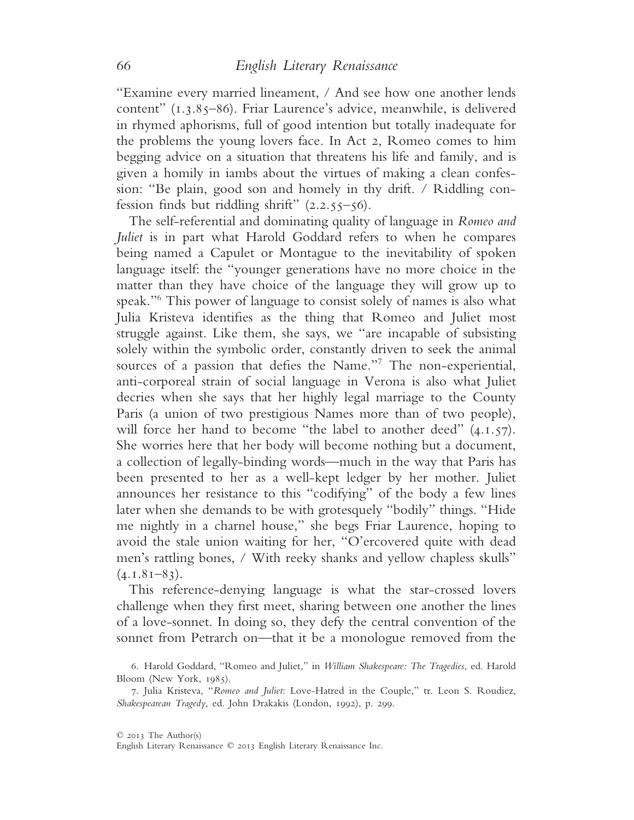"Examine every married lineament, / And see how one another lends content" (1.3.85–86). Friar Laurence's advice, meanwhile, is delivered in rhymed aphorisms, full of good intention but totally inadequate for the problems the young lovers face. In Act 2, Romeo comes to him begging advice on a situation that threatens his life and family, and is given a homily in iambs about the virtues of making a clean confession: "Be plain, good son and homely in thy drift. / Riddling confession finds but riddling shrift"  $(2.2.55-56)$ .

The self-referential and dominating quality of language in *Romeo and Juliet* is in part what Harold Goddard refers to when he compares being named a Capulet or Montague to the inevitability of spoken language itself: the "younger generations have no more choice in the matter than they have choice of the language they will grow up to speak."6 This power of language to consist solely of names is also what Julia Kristeva identifies as the thing that Romeo and Juliet most struggle against. Like them, she says, we "are incapable of subsisting solely within the symbolic order, constantly driven to seek the animal sources of a passion that defies the Name."7 The non-experiential, anti-corporeal strain of social language in Verona is also what Juliet decries when she says that her highly legal marriage to the County Paris (a union of two prestigious Names more than of two people), will force her hand to become "the label to another deed"  $(4.1.57)$ . She worries here that her body will become nothing but a document, a collection of legally-binding words—much in the way that Paris has been presented to her as a well-kept ledger by her mother. Juliet announces her resistance to this "codifying" of the body a few lines later when she demands to be with grotesquely "bodily" things. "Hide me nightly in a charnel house," she begs Friar Laurence, hoping to avoid the stale union waiting for her, "O'ercovered quite with dead men's rattling bones, / With reeky shanks and yellow chapless skulls"  $(4.1.81-83)$ .

This reference-denying language is what the star-crossed lovers challenge when they first meet, sharing between one another the lines of a love-sonnet. In doing so, they defy the central convention of the sonnet from Petrarch on—that it be a monologue removed from the

<sup>6</sup>. Harold Goddard, "Romeo and Juliet," in *William Shakespeare: The Tragedies*, ed. Harold Bloom (New York, 1985).

<sup>7</sup>. Julia Kristeva, "*Romeo and Juliet*: Love-Hatred in the Couple," tr. Leon S. Roudiez, *Shakespearean Tragedy*, ed. John Drakakis (London, 1992), p. 299.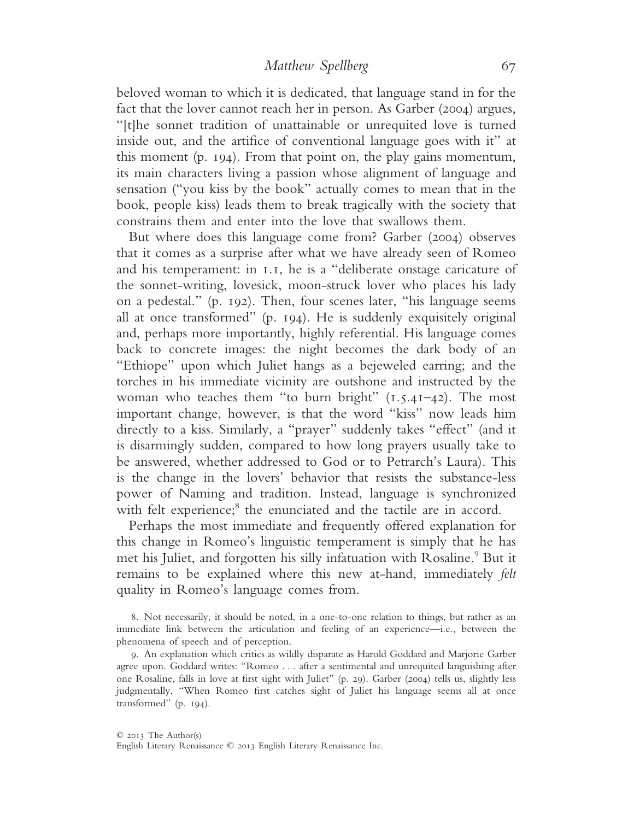beloved woman to which it is dedicated, that language stand in for the fact that the lover cannot reach her in person. As Garber (2004) argues, "[t]he sonnet tradition of unattainable or unrequited love is turned inside out, and the artifice of conventional language goes with it" at this moment (p. 194). From that point on, the play gains momentum, its main characters living a passion whose alignment of language and sensation ("you kiss by the book" actually comes to mean that in the book, people kiss) leads them to break tragically with the society that constrains them and enter into the love that swallows them.

But where does this language come from? Garber (2004) observes that it comes as a surprise after what we have already seen of Romeo and his temperament: in 1.1, he is a "deliberate onstage caricature of the sonnet-writing, lovesick, moon-struck lover who places his lady on a pedestal." (p. 192). Then, four scenes later, "his language seems all at once transformed" (p. 194). He is suddenly exquisitely original and, perhaps more importantly, highly referential. His language comes back to concrete images: the night becomes the dark body of an "Ethiope" upon which Juliet hangs as a bejeweled earring; and the torches in his immediate vicinity are outshone and instructed by the woman who teaches them "to burn bright" (1.5.41–42). The most important change, however, is that the word "kiss" now leads him directly to a kiss. Similarly, a "prayer" suddenly takes "effect" (and it is disarmingly sudden, compared to how long prayers usually take to be answered, whether addressed to God or to Petrarch's Laura). This is the change in the lovers' behavior that resists the substance-less power of Naming and tradition. Instead, language is synchronized with felt experience;<sup>8</sup> the enunciated and the tactile are in accord.

Perhaps the most immediate and frequently offered explanation for this change in Romeo's linguistic temperament is simply that he has met his Juliet, and forgotten his silly infatuation with Rosaline.<sup>9</sup> But it remains to be explained where this new at-hand, immediately *felt* quality in Romeo's language comes from.

8. Not necessarily, it should be noted, in a one-to-one relation to things, but rather as an immediate link between the articulation and feeling of an experience—i.e., between the phenomena of speech and of perception.

9. An explanation which critics as wildly disparate as Harold Goddard and Marjorie Garber agree upon. Goddard writes: "Romeo . . . after a sentimental and unrequited languishing after one Rosaline, falls in love at first sight with Juliet" (p. 29). Garber (2004) tells us, slightly less judgmentally, "When Romeo first catches sight of Juliet his language seems all at once transformed" (p. 194).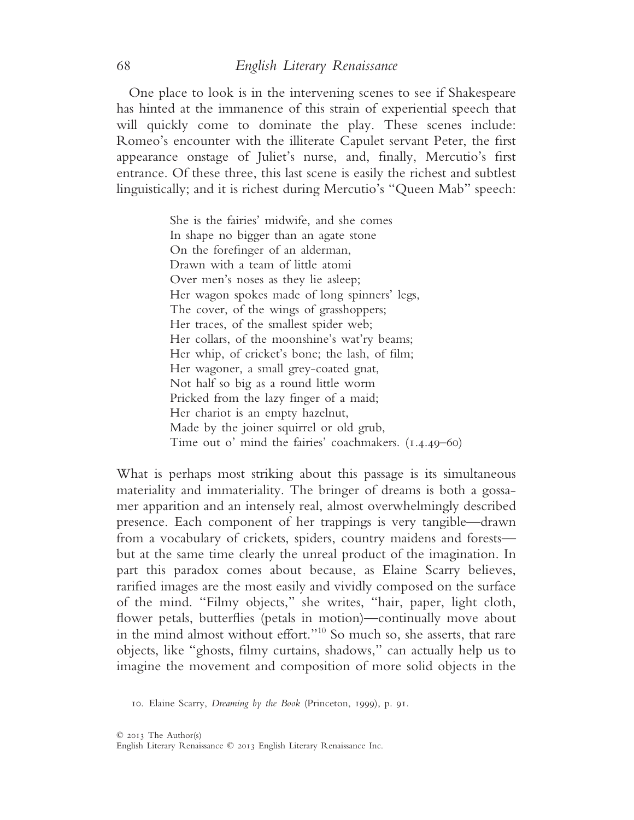One place to look is in the intervening scenes to see if Shakespeare has hinted at the immanence of this strain of experiential speech that will quickly come to dominate the play. These scenes include: Romeo's encounter with the illiterate Capulet servant Peter, the first appearance onstage of Juliet's nurse, and, finally, Mercutio's first entrance. Of these three, this last scene is easily the richest and subtlest linguistically; and it is richest during Mercutio's "Queen Mab" speech:

> She is the fairies' midwife, and she comes In shape no bigger than an agate stone On the forefinger of an alderman, Drawn with a team of little atomi Over men's noses as they lie asleep; Her wagon spokes made of long spinners' legs, The cover, of the wings of grasshoppers; Her traces, of the smallest spider web; Her collars, of the moonshine's wat'ry beams; Her whip, of cricket's bone; the lash, of film; Her wagoner, a small grey-coated gnat, Not half so big as a round little worm Pricked from the lazy finger of a maid; Her chariot is an empty hazelnut, Made by the joiner squirrel or old grub, Time out o' mind the fairies' coachmakers. (1.4.49–60)

What is perhaps most striking about this passage is its simultaneous materiality and immateriality. The bringer of dreams is both a gossamer apparition and an intensely real, almost overwhelmingly described presence. Each component of her trappings is very tangible—drawn from a vocabulary of crickets, spiders, country maidens and forests but at the same time clearly the unreal product of the imagination. In part this paradox comes about because, as Elaine Scarry believes, rarified images are the most easily and vividly composed on the surface of the mind. "Filmy objects," she writes, "hair, paper, light cloth, flower petals, butterflies (petals in motion)—continually move about in the mind almost without effort."10 So much so, she asserts, that rare objects, like "ghosts, filmy curtains, shadows," can actually help us to imagine the movement and composition of more solid objects in the

<sup>10</sup>. Elaine Scarry, *Dreaming by the Book* (Princeton, 1999), p. 91.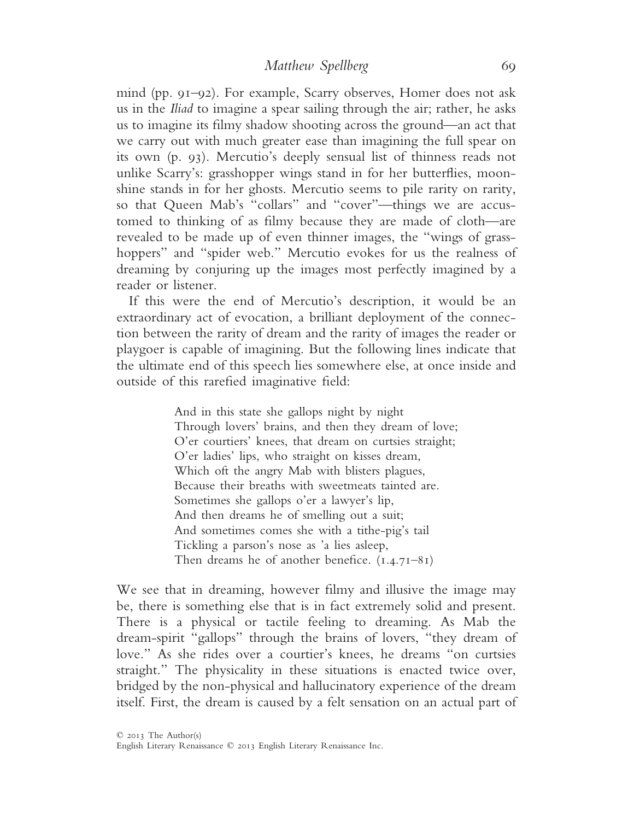mind (pp. 91–92). For example, Scarry observes, Homer does not ask us in the *Iliad* to imagine a spear sailing through the air; rather, he asks us to imagine its filmy shadow shooting across the ground—an act that we carry out with much greater ease than imagining the full spear on its own (p. 93). Mercutio's deeply sensual list of thinness reads not unlike Scarry's: grasshopper wings stand in for her butterflies, moonshine stands in for her ghosts. Mercutio seems to pile rarity on rarity, so that Queen Mab's "collars" and "cover"—things we are accustomed to thinking of as filmy because they are made of cloth—are revealed to be made up of even thinner images, the "wings of grasshoppers" and "spider web." Mercutio evokes for us the realness of dreaming by conjuring up the images most perfectly imagined by a reader or listener.

If this were the end of Mercutio's description, it would be an extraordinary act of evocation, a brilliant deployment of the connection between the rarity of dream and the rarity of images the reader or playgoer is capable of imagining. But the following lines indicate that the ultimate end of this speech lies somewhere else, at once inside and outside of this rarefied imaginative field:

> And in this state she gallops night by night Through lovers' brains, and then they dream of love; O'er courtiers' knees, that dream on curtsies straight; O'er ladies' lips, who straight on kisses dream, Which oft the angry Mab with blisters plagues, Because their breaths with sweetmeats tainted are. Sometimes she gallops o'er a lawyer's lip, And then dreams he of smelling out a suit; And sometimes comes she with a tithe-pig's tail Tickling a parson's nose as 'a lies asleep, Then dreams he of another benefice. (1.4.71–81)

We see that in dreaming, however filmy and illusive the image may be, there is something else that is in fact extremely solid and present. There is a physical or tactile feeling to dreaming. As Mab the dream-spirit "gallops" through the brains of lovers, "they dream of love." As she rides over a courtier's knees, he dreams "on curtsies straight." The physicality in these situations is enacted twice over, bridged by the non-physical and hallucinatory experience of the dream itself. First, the dream is caused by a felt sensation on an actual part of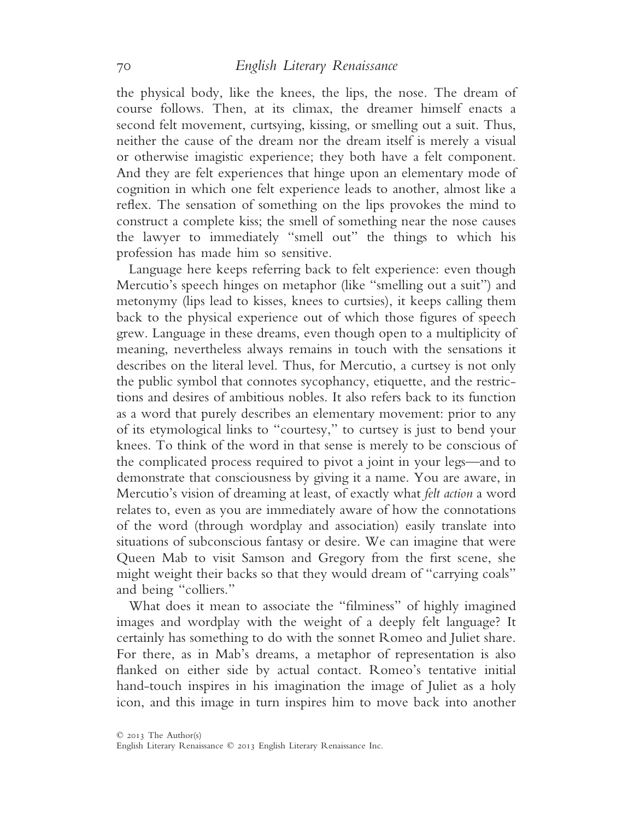the physical body, like the knees, the lips, the nose. The dream of course follows. Then, at its climax, the dreamer himself enacts a second felt movement, curtsying, kissing, or smelling out a suit. Thus, neither the cause of the dream nor the dream itself is merely a visual or otherwise imagistic experience; they both have a felt component. And they are felt experiences that hinge upon an elementary mode of cognition in which one felt experience leads to another, almost like a reflex. The sensation of something on the lips provokes the mind to construct a complete kiss; the smell of something near the nose causes the lawyer to immediately "smell out" the things to which his profession has made him so sensitive.

Language here keeps referring back to felt experience: even though Mercutio's speech hinges on metaphor (like "smelling out a suit") and metonymy (lips lead to kisses, knees to curtsies), it keeps calling them back to the physical experience out of which those figures of speech grew. Language in these dreams, even though open to a multiplicity of meaning, nevertheless always remains in touch with the sensations it describes on the literal level. Thus, for Mercutio, a curtsey is not only the public symbol that connotes sycophancy, etiquette, and the restrictions and desires of ambitious nobles. It also refers back to its function as a word that purely describes an elementary movement: prior to any of its etymological links to "courtesy," to curtsey is just to bend your knees. To think of the word in that sense is merely to be conscious of the complicated process required to pivot a joint in your legs—and to demonstrate that consciousness by giving it a name. You are aware, in Mercutio's vision of dreaming at least, of exactly what *felt action* a word relates to, even as you are immediately aware of how the connotations of the word (through wordplay and association) easily translate into situations of subconscious fantasy or desire. We can imagine that were Queen Mab to visit Samson and Gregory from the first scene, she might weight their backs so that they would dream of "carrying coals" and being "colliers."

What does it mean to associate the "filminess" of highly imagined images and wordplay with the weight of a deeply felt language? It certainly has something to do with the sonnet Romeo and Juliet share. For there, as in Mab's dreams, a metaphor of representation is also flanked on either side by actual contact. Romeo's tentative initial hand-touch inspires in his imagination the image of Juliet as a holy icon, and this image in turn inspires him to move back into another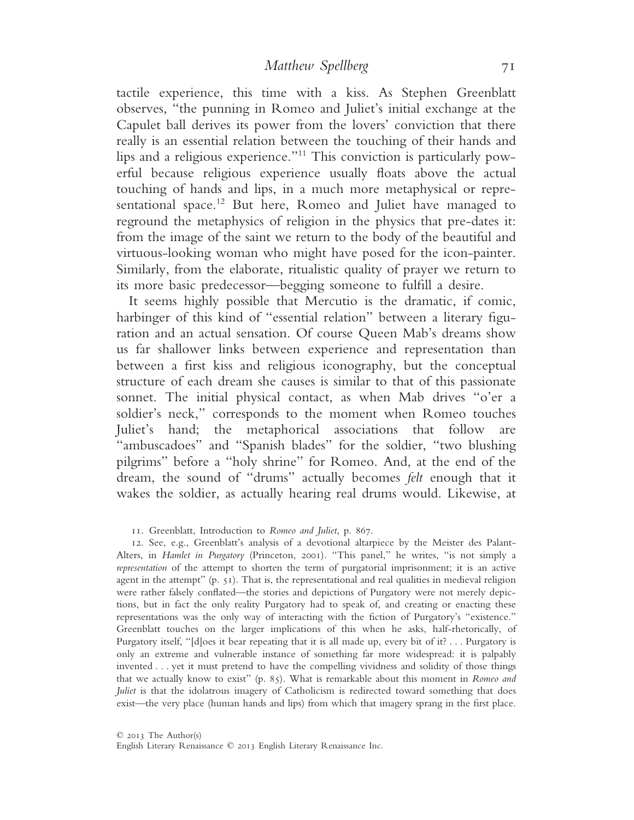tactile experience, this time with a kiss. As Stephen Greenblatt observes, "the punning in Romeo and Juliet's initial exchange at the Capulet ball derives its power from the lovers' conviction that there really is an essential relation between the touching of their hands and lips and a religious experience."11 This conviction is particularly powerful because religious experience usually floats above the actual touching of hands and lips, in a much more metaphysical or representational space.<sup>12</sup> But here, Romeo and Juliet have managed to reground the metaphysics of religion in the physics that pre-dates it: from the image of the saint we return to the body of the beautiful and virtuous-looking woman who might have posed for the icon-painter. Similarly, from the elaborate, ritualistic quality of prayer we return to its more basic predecessor—begging someone to fulfill a desire.

It seems highly possible that Mercutio is the dramatic, if comic, harbinger of this kind of "essential relation" between a literary figuration and an actual sensation. Of course Queen Mab's dreams show us far shallower links between experience and representation than between a first kiss and religious iconography, but the conceptual structure of each dream she causes is similar to that of this passionate sonnet. The initial physical contact, as when Mab drives "o'er a soldier's neck," corresponds to the moment when Romeo touches Juliet's hand; the metaphorical associations that follow are "ambuscadoes" and "Spanish blades" for the soldier, "two blushing pilgrims" before a "holy shrine" for Romeo. And, at the end of the dream, the sound of "drums" actually becomes *felt* enough that it wakes the soldier, as actually hearing real drums would. Likewise, at

11. Greenblatt, Introduction to *Romeo and Juliet*, p. 867.

12. See, e.g., Greenblatt's analysis of a devotional altarpiece by the Meister des Palant-Alters, in *Hamlet in Purgatory* (Princeton, 2001). "This panel," he writes, "is not simply a *representation* of the attempt to shorten the term of purgatorial imprisonment; it is an active agent in the attempt" (p. 51). That is, the representational and real qualities in medieval religion were rather falsely conflated—the stories and depictions of Purgatory were not merely depictions, but in fact the only reality Purgatory had to speak of, and creating or enacting these representations was the only way of interacting with the fiction of Purgatory's "existence." Greenblatt touches on the larger implications of this when he asks, half-rhetorically, of Purgatory itself, "[d]oes it bear repeating that it is all made up, every bit of it?... Purgatory is only an extreme and vulnerable instance of something far more widespread: it is palpably invented . . . yet it must pretend to have the compelling vividness and solidity of those things that we actually know to exist" (p. 85). What is remarkable about this moment in *Romeo and Juliet* is that the idolatrous imagery of Catholicism is redirected toward something that does exist—the very place (human hands and lips) from which that imagery sprang in the first place.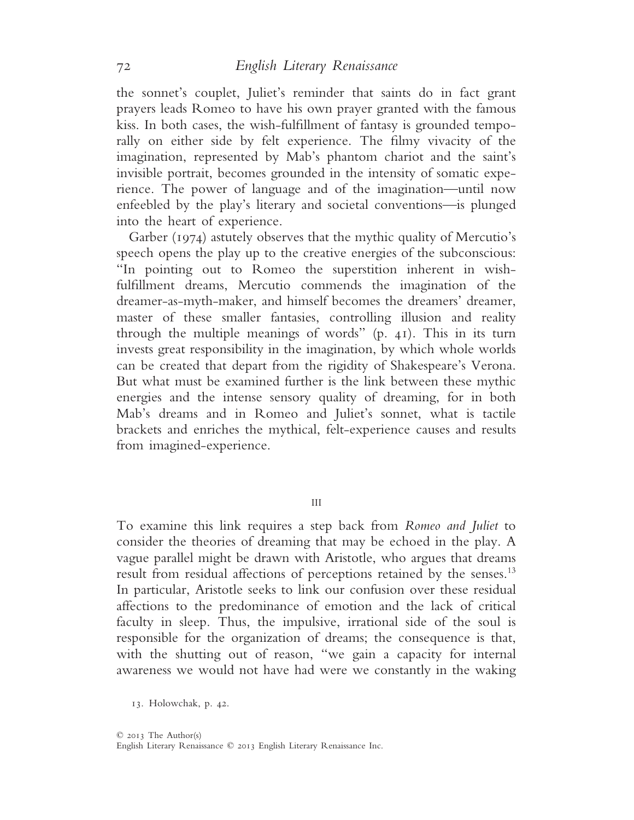the sonnet's couplet, Juliet's reminder that saints do in fact grant prayers leads Romeo to have his own prayer granted with the famous kiss. In both cases, the wish-fulfillment of fantasy is grounded temporally on either side by felt experience. The filmy vivacity of the imagination, represented by Mab's phantom chariot and the saint's invisible portrait, becomes grounded in the intensity of somatic experience. The power of language and of the imagination—until now enfeebled by the play's literary and societal conventions—is plunged into the heart of experience.

Garber (1974) astutely observes that the mythic quality of Mercutio's speech opens the play up to the creative energies of the subconscious: "In pointing out to Romeo the superstition inherent in wishfulfillment dreams, Mercutio commends the imagination of the dreamer-as-myth-maker, and himself becomes the dreamers' dreamer, master of these smaller fantasies, controlling illusion and reality through the multiple meanings of words" (p. 41). This in its turn invests great responsibility in the imagination, by which whole worlds can be created that depart from the rigidity of Shakespeare's Verona. But what must be examined further is the link between these mythic energies and the intense sensory quality of dreaming, for in both Mab's dreams and in Romeo and Juliet's sonnet, what is tactile brackets and enriches the mythical, felt-experience causes and results from imagined-experience.

III

To examine this link requires a step back from *Romeo and Juliet* to consider the theories of dreaming that may be echoed in the play. A vague parallel might be drawn with Aristotle, who argues that dreams result from residual affections of perceptions retained by the senses.<sup>13</sup> In particular, Aristotle seeks to link our confusion over these residual affections to the predominance of emotion and the lack of critical faculty in sleep. Thus, the impulsive, irrational side of the soul is responsible for the organization of dreams; the consequence is that, with the shutting out of reason, "we gain a capacity for internal awareness we would not have had were we constantly in the waking

<sup>13</sup>. Holowchak, p. 42.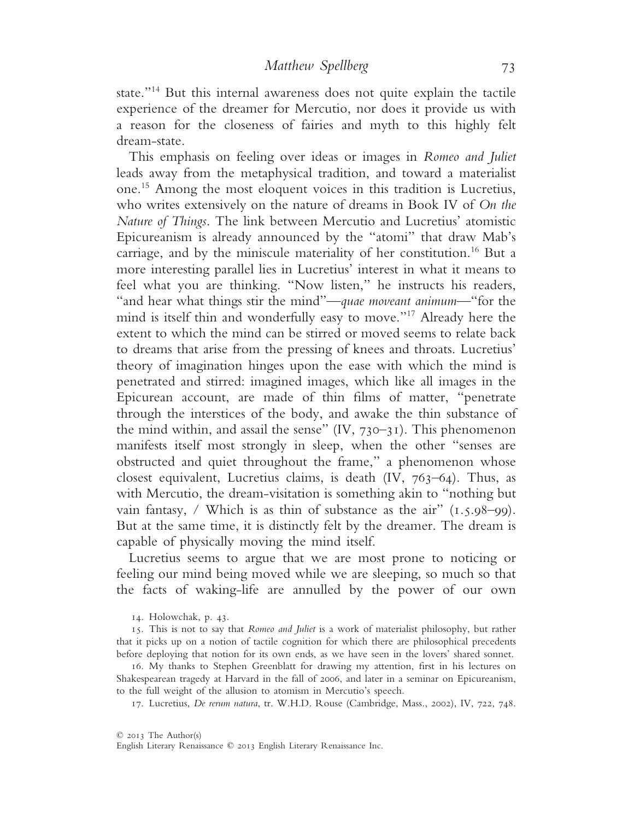state."14 But this internal awareness does not quite explain the tactile experience of the dreamer for Mercutio, nor does it provide us with a reason for the closeness of fairies and myth to this highly felt dream-state.

This emphasis on feeling over ideas or images in *Romeo and Juliet* leads away from the metaphysical tradition, and toward a materialist one.15 Among the most eloquent voices in this tradition is Lucretius, who writes extensively on the nature of dreams in Book IV of *On the Nature of Things*. The link between Mercutio and Lucretius' atomistic Epicureanism is already announced by the "atomi" that draw Mab's carriage, and by the miniscule materiality of her constitution.16 But a more interesting parallel lies in Lucretius' interest in what it means to feel what you are thinking. "Now listen," he instructs his readers, "and hear what things stir the mind"—*quae moveant animum*—"for the mind is itself thin and wonderfully easy to move."17 Already here the extent to which the mind can be stirred or moved seems to relate back to dreams that arise from the pressing of knees and throats. Lucretius' theory of imagination hinges upon the ease with which the mind is penetrated and stirred: imagined images, which like all images in the Epicurean account, are made of thin films of matter, "penetrate through the interstices of the body, and awake the thin substance of the mind within, and assail the sense"  $(IV, 730-31)$ . This phenomenon manifests itself most strongly in sleep, when the other "senses are obstructed and quiet throughout the frame," a phenomenon whose closest equivalent, Lucretius claims, is death  $(IV, 763-64)$ . Thus, as with Mercutio, the dream-visitation is something akin to "nothing but vain fantasy, / Which is as thin of substance as the air"  $(1.5.98-99)$ . But at the same time, it is distinctly felt by the dreamer. The dream is capable of physically moving the mind itself.

Lucretius seems to argue that we are most prone to noticing or feeling our mind being moved while we are sleeping, so much so that the facts of waking-life are annulled by the power of our own

17. Lucretius, *De rerum natura*, tr. W.H.D. Rouse (Cambridge, Mass., 2002), IV, 722, 748.

<sup>14</sup>. Holowchak, p. 43.

<sup>15</sup>. This is not to say that *Romeo and Juliet* is a work of materialist philosophy, but rather that it picks up on a notion of tactile cognition for which there are philosophical precedents before deploying that notion for its own ends, as we have seen in the lovers' shared sonnet.

<sup>16</sup>. My thanks to Stephen Greenblatt for drawing my attention, first in his lectures on Shakespearean tragedy at Harvard in the fall of 2006, and later in a seminar on Epicureanism, to the full weight of the allusion to atomism in Mercutio's speech.

English Literary Renaissance © 2013 English Literary Renaissance Inc.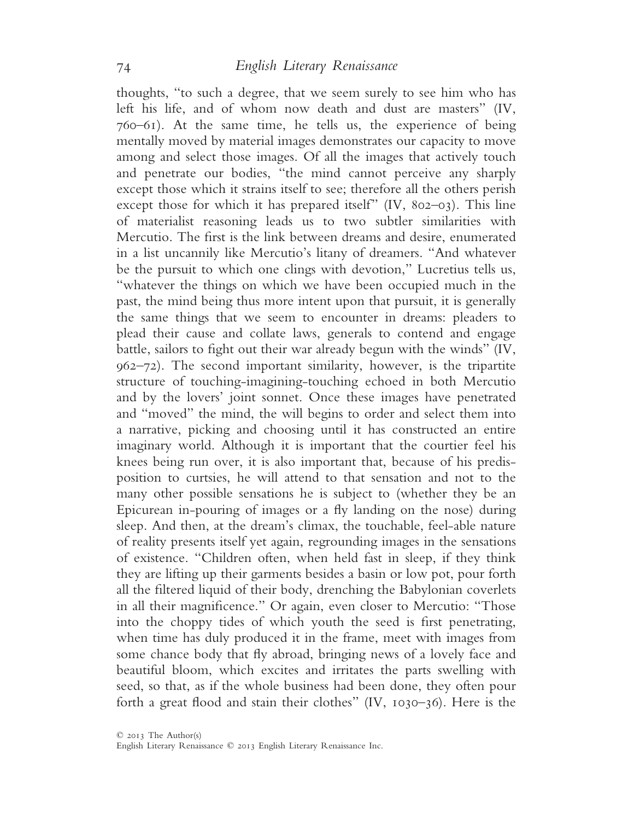thoughts, "to such a degree, that we seem surely to see him who has left his life, and of whom now death and dust are masters" (IV, 760–61). At the same time, he tells us, the experience of being mentally moved by material images demonstrates our capacity to move among and select those images. Of all the images that actively touch and penetrate our bodies, "the mind cannot perceive any sharply except those which it strains itself to see; therefore all the others perish except those for which it has prepared itself" (IV, 802–03). This line of materialist reasoning leads us to two subtler similarities with Mercutio. The first is the link between dreams and desire, enumerated in a list uncannily like Mercutio's litany of dreamers. "And whatever be the pursuit to which one clings with devotion," Lucretius tells us, "whatever the things on which we have been occupied much in the past, the mind being thus more intent upon that pursuit, it is generally the same things that we seem to encounter in dreams: pleaders to plead their cause and collate laws, generals to contend and engage battle, sailors to fight out their war already begun with the winds" (IV, 962–72). The second important similarity, however, is the tripartite structure of touching-imagining-touching echoed in both Mercutio and by the lovers' joint sonnet. Once these images have penetrated and "moved" the mind, the will begins to order and select them into a narrative, picking and choosing until it has constructed an entire imaginary world. Although it is important that the courtier feel his knees being run over, it is also important that, because of his predisposition to curtsies, he will attend to that sensation and not to the many other possible sensations he is subject to (whether they be an Epicurean in-pouring of images or a fly landing on the nose) during sleep. And then, at the dream's climax, the touchable, feel-able nature of reality presents itself yet again, regrounding images in the sensations of existence. "Children often, when held fast in sleep, if they think they are lifting up their garments besides a basin or low pot, pour forth all the filtered liquid of their body, drenching the Babylonian coverlets in all their magnificence." Or again, even closer to Mercutio: "Those into the choppy tides of which youth the seed is first penetrating, when time has duly produced it in the frame, meet with images from some chance body that fly abroad, bringing news of a lovely face and beautiful bloom, which excites and irritates the parts swelling with seed, so that, as if the whole business had been done, they often pour forth a great flood and stain their clothes" (IV, 1030–36). Here is the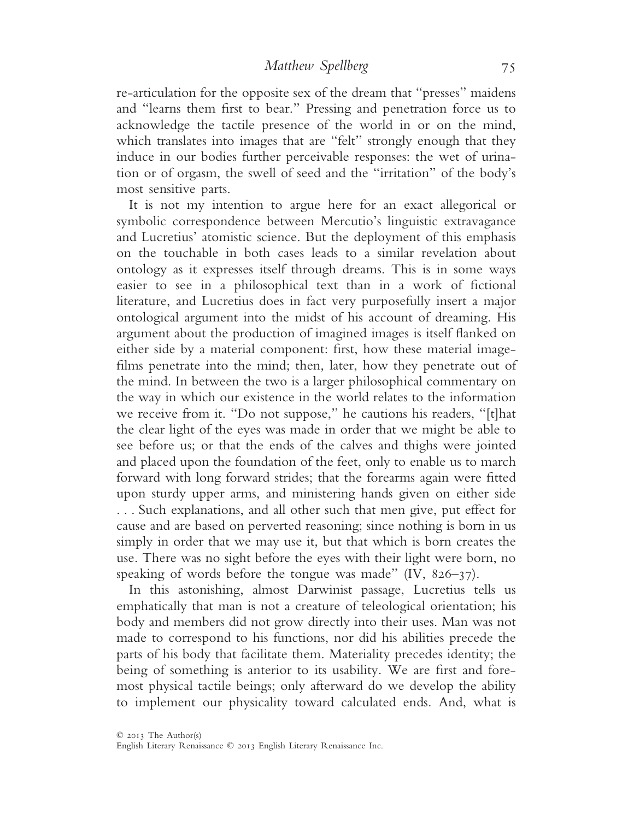re-articulation for the opposite sex of the dream that "presses" maidens and "learns them first to bear." Pressing and penetration force us to acknowledge the tactile presence of the world in or on the mind, which translates into images that are "felt" strongly enough that they induce in our bodies further perceivable responses: the wet of urination or of orgasm, the swell of seed and the "irritation" of the body's most sensitive parts.

It is not my intention to argue here for an exact allegorical or symbolic correspondence between Mercutio's linguistic extravagance and Lucretius' atomistic science. But the deployment of this emphasis on the touchable in both cases leads to a similar revelation about ontology as it expresses itself through dreams. This is in some ways easier to see in a philosophical text than in a work of fictional literature, and Lucretius does in fact very purposefully insert a major ontological argument into the midst of his account of dreaming. His argument about the production of imagined images is itself flanked on either side by a material component: first, how these material imagefilms penetrate into the mind; then, later, how they penetrate out of the mind. In between the two is a larger philosophical commentary on the way in which our existence in the world relates to the information we receive from it. "Do not suppose," he cautions his readers, "[t]hat the clear light of the eyes was made in order that we might be able to see before us; or that the ends of the calves and thighs were jointed and placed upon the foundation of the feet, only to enable us to march forward with long forward strides; that the forearms again were fitted upon sturdy upper arms, and ministering hands given on either side . . . Such explanations, and all other such that men give, put effect for cause and are based on perverted reasoning; since nothing is born in us simply in order that we may use it, but that which is born creates the use. There was no sight before the eyes with their light were born, no speaking of words before the tongue was made" (IV, 826–37).

In this astonishing, almost Darwinist passage, Lucretius tells us emphatically that man is not a creature of teleological orientation; his body and members did not grow directly into their uses. Man was not made to correspond to his functions, nor did his abilities precede the parts of his body that facilitate them. Materiality precedes identity; the being of something is anterior to its usability. We are first and foremost physical tactile beings; only afterward do we develop the ability to implement our physicality toward calculated ends. And, what is

English Literary Renaissance © 2013 English Literary Renaissance Inc.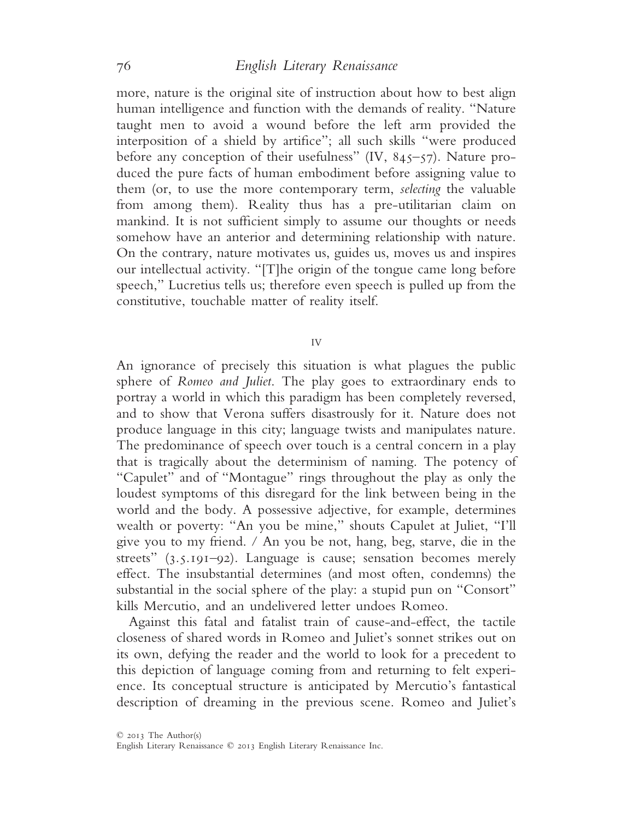more, nature is the original site of instruction about how to best align human intelligence and function with the demands of reality. "Nature taught men to avoid a wound before the left arm provided the interposition of a shield by artifice"; all such skills "were produced before any conception of their usefulness" (IV, 845-57). Nature produced the pure facts of human embodiment before assigning value to them (or, to use the more contemporary term, *selecting* the valuable from among them). Reality thus has a pre-utilitarian claim on mankind. It is not sufficient simply to assume our thoughts or needs somehow have an anterior and determining relationship with nature. On the contrary, nature motivates us, guides us, moves us and inspires our intellectual activity. "[T]he origin of the tongue came long before speech," Lucretius tells us; therefore even speech is pulled up from the constitutive, touchable matter of reality itself.

IV

An ignorance of precisely this situation is what plagues the public sphere of *Romeo and Juliet*. The play goes to extraordinary ends to portray a world in which this paradigm has been completely reversed, and to show that Verona suffers disastrously for it. Nature does not produce language in this city; language twists and manipulates nature. The predominance of speech over touch is a central concern in a play that is tragically about the determinism of naming. The potency of "Capulet" and of "Montague" rings throughout the play as only the loudest symptoms of this disregard for the link between being in the world and the body. A possessive adjective, for example, determines wealth or poverty: "An you be mine," shouts Capulet at Juliet, "I'll give you to my friend. / An you be not, hang, beg, starve, die in the streets" (3.5.191–92). Language is cause; sensation becomes merely effect. The insubstantial determines (and most often, condemns) the substantial in the social sphere of the play: a stupid pun on "Consort" kills Mercutio, and an undelivered letter undoes Romeo.

Against this fatal and fatalist train of cause-and-effect, the tactile closeness of shared words in Romeo and Juliet's sonnet strikes out on its own, defying the reader and the world to look for a precedent to this depiction of language coming from and returning to felt experience. Its conceptual structure is anticipated by Mercutio's fantastical description of dreaming in the previous scene. Romeo and Juliet's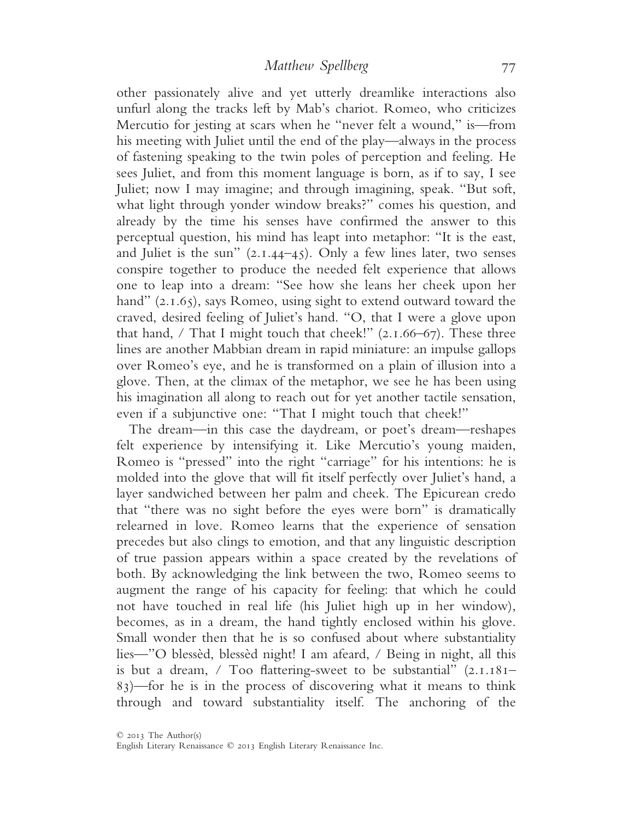other passionately alive and yet utterly dreamlike interactions also unfurl along the tracks left by Mab's chariot. Romeo, who criticizes Mercutio for jesting at scars when he "never felt a wound," is—from his meeting with Juliet until the end of the play—always in the process of fastening speaking to the twin poles of perception and feeling. He sees Juliet, and from this moment language is born, as if to say, I see Juliet; now I may imagine; and through imagining, speak. "But soft, what light through yonder window breaks?" comes his question, and already by the time his senses have confirmed the answer to this perceptual question, his mind has leapt into metaphor: "It is the east, and Juliet is the sun"  $(2.1.44-45)$ . Only a few lines later, two senses conspire together to produce the needed felt experience that allows one to leap into a dream: "See how she leans her cheek upon her hand" (2.1.65), says Romeo, using sight to extend outward toward the craved, desired feeling of Juliet's hand. "O, that I were a glove upon that hand,  $/$  That I might touch that cheek!"  $(2.1.66-67)$ . These three lines are another Mabbian dream in rapid miniature: an impulse gallops over Romeo's eye, and he is transformed on a plain of illusion into a glove. Then, at the climax of the metaphor, we see he has been using his imagination all along to reach out for yet another tactile sensation, even if a subjunctive one: "That I might touch that cheek!"

The dream—in this case the daydream, or poet's dream—reshapes felt experience by intensifying it. Like Mercutio's young maiden, Romeo is "pressed" into the right "carriage" for his intentions: he is molded into the glove that will fit itself perfectly over Juliet's hand, a layer sandwiched between her palm and cheek. The Epicurean credo that "there was no sight before the eyes were born" is dramatically relearned in love. Romeo learns that the experience of sensation precedes but also clings to emotion, and that any linguistic description of true passion appears within a space created by the revelations of both. By acknowledging the link between the two, Romeo seems to augment the range of his capacity for feeling: that which he could not have touched in real life (his Juliet high up in her window), becomes, as in a dream, the hand tightly enclosed within his glove. Small wonder then that he is so confused about where substantiality lies—"O blessèd, blessèd night! I am afeard, / Being in night, all this is but a dream, / Too flattering-sweet to be substantial" (2.1.181– 83)—for he is in the process of discovering what it means to think through and toward substantiality itself. The anchoring of the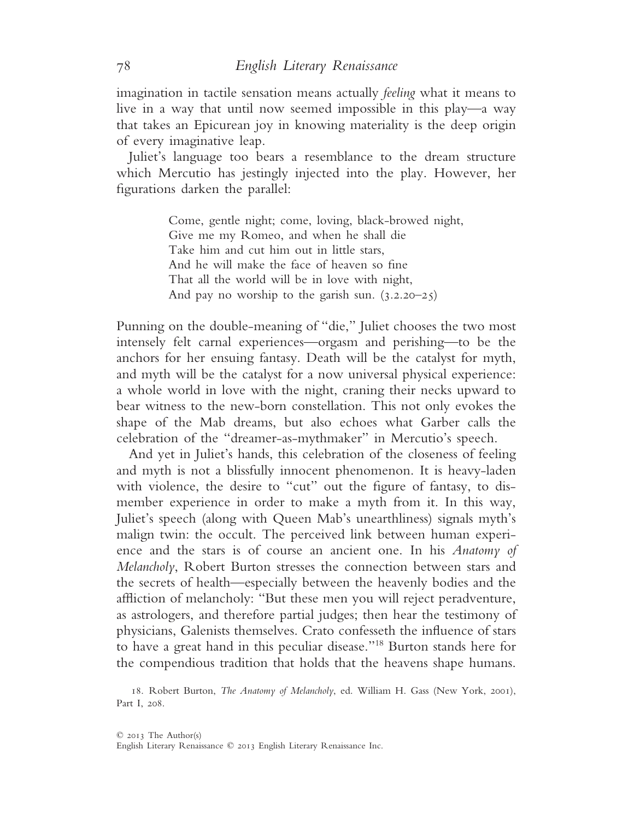imagination in tactile sensation means actually *feeling* what it means to live in a way that until now seemed impossible in this play—a way that takes an Epicurean joy in knowing materiality is the deep origin of every imaginative leap.

Juliet's language too bears a resemblance to the dream structure which Mercutio has jestingly injected into the play. However, her figurations darken the parallel:

> Come, gentle night; come, loving, black-browed night, Give me my Romeo, and when he shall die Take him and cut him out in little stars, And he will make the face of heaven so fine That all the world will be in love with night, And pay no worship to the garish sun.  $(3.2.20-25)$

Punning on the double-meaning of "die," Juliet chooses the two most intensely felt carnal experiences—orgasm and perishing—to be the anchors for her ensuing fantasy. Death will be the catalyst for myth, and myth will be the catalyst for a now universal physical experience: a whole world in love with the night, craning their necks upward to bear witness to the new-born constellation. This not only evokes the shape of the Mab dreams, but also echoes what Garber calls the celebration of the "dreamer-as-mythmaker" in Mercutio's speech.

And yet in Juliet's hands, this celebration of the closeness of feeling and myth is not a blissfully innocent phenomenon. It is heavy-laden with violence, the desire to "cut" out the figure of fantasy, to dismember experience in order to make a myth from it. In this way, Juliet's speech (along with Queen Mab's unearthliness) signals myth's malign twin: the occult. The perceived link between human experience and the stars is of course an ancient one. In his *Anatomy of Melancholy*, Robert Burton stresses the connection between stars and the secrets of health—especially between the heavenly bodies and the affliction of melancholy: "But these men you will reject peradventure, as astrologers, and therefore partial judges; then hear the testimony of physicians, Galenists themselves. Crato confesseth the influence of stars to have a great hand in this peculiar disease."18 Burton stands here for the compendious tradition that holds that the heavens shape humans.

18. Robert Burton, *The Anatomy of Melancholy*, ed. William H. Gass (New York, 2001), Part I, 208.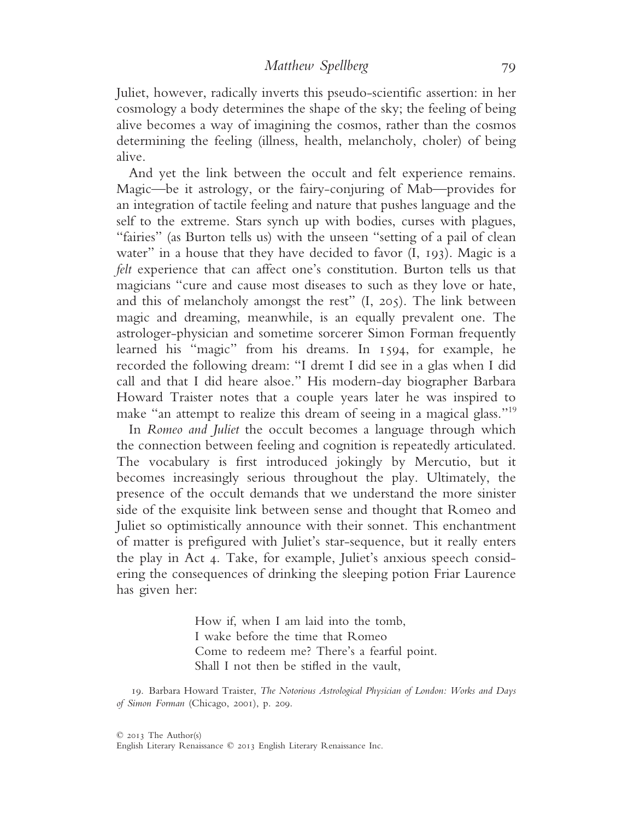Juliet, however, radically inverts this pseudo-scientific assertion: in her cosmology a body determines the shape of the sky; the feeling of being alive becomes a way of imagining the cosmos, rather than the cosmos determining the feeling (illness, health, melancholy, choler) of being alive.

And yet the link between the occult and felt experience remains. Magic—be it astrology, or the fairy-conjuring of Mab—provides for an integration of tactile feeling and nature that pushes language and the self to the extreme. Stars synch up with bodies, curses with plagues, "fairies" (as Burton tells us) with the unseen "setting of a pail of clean water" in a house that they have decided to favor (I, 193). Magic is a *felt* experience that can affect one's constitution. Burton tells us that magicians "cure and cause most diseases to such as they love or hate, and this of melancholy amongst the rest" (I, 205). The link between magic and dreaming, meanwhile, is an equally prevalent one. The astrologer-physician and sometime sorcerer Simon Forman frequently learned his "magic" from his dreams. In 1594, for example, he recorded the following dream: "I dremt I did see in a glas when I did call and that I did heare alsoe." His modern-day biographer Barbara Howard Traister notes that a couple years later he was inspired to make "an attempt to realize this dream of seeing in a magical glass."<sup>19</sup>

In *Romeo and Juliet* the occult becomes a language through which the connection between feeling and cognition is repeatedly articulated. The vocabulary is first introduced jokingly by Mercutio, but it becomes increasingly serious throughout the play. Ultimately, the presence of the occult demands that we understand the more sinister side of the exquisite link between sense and thought that Romeo and Juliet so optimistically announce with their sonnet. This enchantment of matter is prefigured with Juliet's star-sequence, but it really enters the play in Act 4. Take, for example, Juliet's anxious speech considering the consequences of drinking the sleeping potion Friar Laurence has given her:

> How if, when I am laid into the tomb, I wake before the time that Romeo Come to redeem me? There's a fearful point. Shall I not then be stifled in the vault,

19. Barbara Howard Traister, *The Notorious Astrological Physician of London: Works and Days of Simon Forman* (Chicago, 2001), p. 209.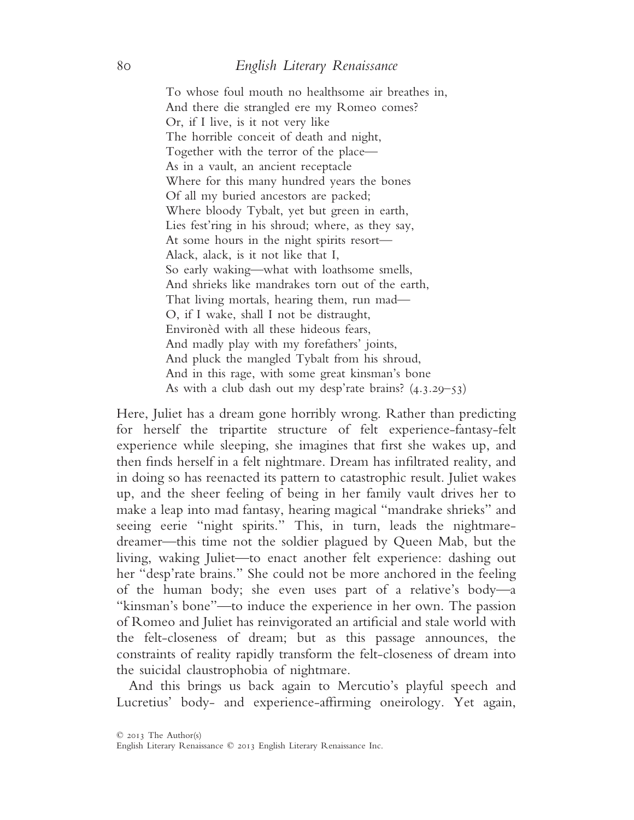To whose foul mouth no healthsome air breathes in, And there die strangled ere my Romeo comes? Or, if I live, is it not very like The horrible conceit of death and night, Together with the terror of the place— As in a vault, an ancient receptacle Where for this many hundred years the bones Of all my buried ancestors are packed; Where bloody Tybalt, yet but green in earth, Lies fest'ring in his shroud; where, as they say, At some hours in the night spirits resort— Alack, alack, is it not like that I, So early waking—what with loathsome smells, And shrieks like mandrakes torn out of the earth, That living mortals, hearing them, run mad— O, if I wake, shall I not be distraught, Environèd with all these hideous fears, And madly play with my forefathers' joints, And pluck the mangled Tybalt from his shroud, And in this rage, with some great kinsman's bone As with a club dash out my desp'rate brains? (4.3.29–53)

Here, Juliet has a dream gone horribly wrong. Rather than predicting for herself the tripartite structure of felt experience-fantasy-felt experience while sleeping, she imagines that first she wakes up, and then finds herself in a felt nightmare. Dream has infiltrated reality, and in doing so has reenacted its pattern to catastrophic result. Juliet wakes up, and the sheer feeling of being in her family vault drives her to make a leap into mad fantasy, hearing magical "mandrake shrieks" and seeing eerie "night spirits." This, in turn, leads the nightmaredreamer—this time not the soldier plagued by Queen Mab, but the living, waking Juliet—to enact another felt experience: dashing out her "desp'rate brains." She could not be more anchored in the feeling of the human body; she even uses part of a relative's body—a "kinsman's bone"—to induce the experience in her own. The passion of Romeo and Juliet has reinvigorated an artificial and stale world with the felt-closeness of dream; but as this passage announces, the constraints of reality rapidly transform the felt-closeness of dream into the suicidal claustrophobia of nightmare.

And this brings us back again to Mercutio's playful speech and Lucretius' body- and experience-affirming oneirology. Yet again,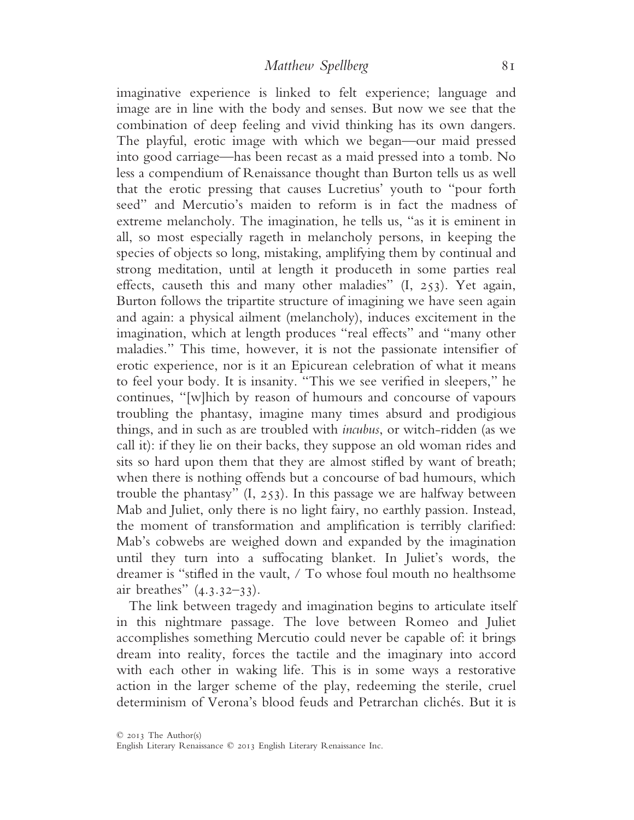imaginative experience is linked to felt experience; language and image are in line with the body and senses. But now we see that the combination of deep feeling and vivid thinking has its own dangers. The playful, erotic image with which we began—our maid pressed into good carriage—has been recast as a maid pressed into a tomb. No less a compendium of Renaissance thought than Burton tells us as well that the erotic pressing that causes Lucretius' youth to "pour forth seed" and Mercutio's maiden to reform is in fact the madness of extreme melancholy. The imagination, he tells us, "as it is eminent in all, so most especially rageth in melancholy persons, in keeping the species of objects so long, mistaking, amplifying them by continual and strong meditation, until at length it produceth in some parties real effects, causeth this and many other maladies" (I, 253). Yet again, Burton follows the tripartite structure of imagining we have seen again and again: a physical ailment (melancholy), induces excitement in the imagination, which at length produces "real effects" and "many other maladies." This time, however, it is not the passionate intensifier of erotic experience, nor is it an Epicurean celebration of what it means to feel your body. It is insanity. "This we see verified in sleepers," he continues, "[w]hich by reason of humours and concourse of vapours troubling the phantasy, imagine many times absurd and prodigious things, and in such as are troubled with *incubus*, or witch-ridden (as we call it): if they lie on their backs, they suppose an old woman rides and sits so hard upon them that they are almost stifled by want of breath; when there is nothing offends but a concourse of bad humours, which trouble the phantasy" (I, 253). In this passage we are halfway between Mab and Juliet, only there is no light fairy, no earthly passion. Instead, the moment of transformation and amplification is terribly clarified: Mab's cobwebs are weighed down and expanded by the imagination until they turn into a suffocating blanket. In Juliet's words, the dreamer is "stifled in the vault, / To whose foul mouth no healthsome air breathes" (4.3.32–33).

The link between tragedy and imagination begins to articulate itself in this nightmare passage. The love between Romeo and Juliet accomplishes something Mercutio could never be capable of: it brings dream into reality, forces the tactile and the imaginary into accord with each other in waking life. This is in some ways a restorative action in the larger scheme of the play, redeeming the sterile, cruel determinism of Verona's blood feuds and Petrarchan clichés. But it is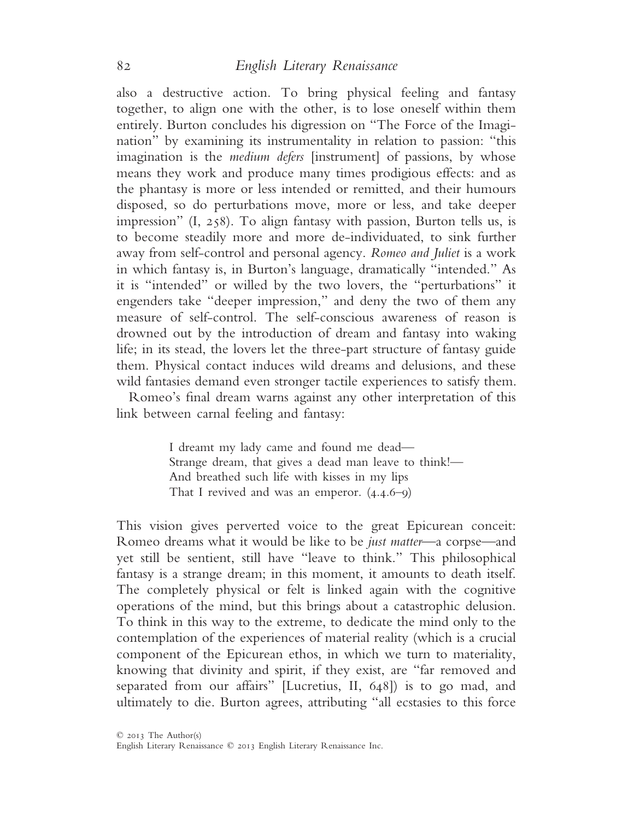also a destructive action. To bring physical feeling and fantasy together, to align one with the other, is to lose oneself within them entirely. Burton concludes his digression on "The Force of the Imagination" by examining its instrumentality in relation to passion: "this imagination is the *medium defers* [instrument] of passions, by whose means they work and produce many times prodigious effects: and as the phantasy is more or less intended or remitted, and their humours disposed, so do perturbations move, more or less, and take deeper impression" (I, 258). To align fantasy with passion, Burton tells us, is to become steadily more and more de-individuated, to sink further away from self-control and personal agency. *Romeo and Juliet* is a work in which fantasy is, in Burton's language, dramatically "intended." As it is "intended" or willed by the two lovers, the "perturbations" it engenders take "deeper impression," and deny the two of them any measure of self-control. The self-conscious awareness of reason is drowned out by the introduction of dream and fantasy into waking life; in its stead, the lovers let the three-part structure of fantasy guide them. Physical contact induces wild dreams and delusions, and these wild fantasies demand even stronger tactile experiences to satisfy them.

Romeo's final dream warns against any other interpretation of this link between carnal feeling and fantasy:

> I dreamt my lady came and found me dead— Strange dream, that gives a dead man leave to think!— And breathed such life with kisses in my lips That I revived and was an emperor. (4.4.6–9)

This vision gives perverted voice to the great Epicurean conceit: Romeo dreams what it would be like to be *just matter*—a corpse—and yet still be sentient, still have "leave to think." This philosophical fantasy is a strange dream; in this moment, it amounts to death itself. The completely physical or felt is linked again with the cognitive operations of the mind, but this brings about a catastrophic delusion. To think in this way to the extreme, to dedicate the mind only to the contemplation of the experiences of material reality (which is a crucial component of the Epicurean ethos, in which we turn to materiality, knowing that divinity and spirit, if they exist, are "far removed and separated from our affairs" [Lucretius, II, 648]) is to go mad, and ultimately to die. Burton agrees, attributing "all ecstasies to this force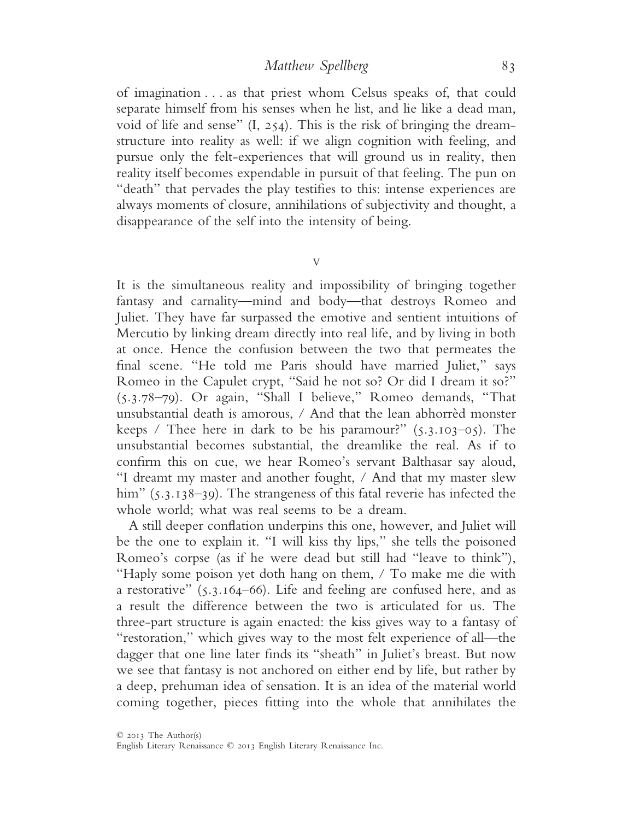of imagination . . . as that priest whom Celsus speaks of, that could separate himself from his senses when he list, and lie like a dead man, void of life and sense" (I, 254). This is the risk of bringing the dreamstructure into reality as well: if we align cognition with feeling, and pursue only the felt-experiences that will ground us in reality, then reality itself becomes expendable in pursuit of that feeling. The pun on "death" that pervades the play testifies to this: intense experiences are always moments of closure, annihilations of subjectivity and thought, a disappearance of the self into the intensity of being.

V

It is the simultaneous reality and impossibility of bringing together fantasy and carnality—mind and body—that destroys Romeo and Juliet. They have far surpassed the emotive and sentient intuitions of Mercutio by linking dream directly into real life, and by living in both at once. Hence the confusion between the two that permeates the final scene. "He told me Paris should have married Juliet," says Romeo in the Capulet crypt, "Said he not so? Or did I dream it so?" (5.3.78–79). Or again, "Shall I believe," Romeo demands, "That unsubstantial death is amorous, / And that the lean abhorrèd monster keeps / Thee here in dark to be his paramour?"  $(5.3.103-05)$ . The unsubstantial becomes substantial, the dreamlike the real. As if to confirm this on cue, we hear Romeo's servant Balthasar say aloud, "I dreamt my master and another fought, / And that my master slew him" (5.3.138–39). The strangeness of this fatal reverie has infected the whole world; what was real seems to be a dream.

A still deeper conflation underpins this one, however, and Juliet will be the one to explain it. "I will kiss thy lips," she tells the poisoned Romeo's corpse (as if he were dead but still had "leave to think"), "Haply some poison yet doth hang on them, / To make me die with a restorative" (5.3.164–66). Life and feeling are confused here, and as a result the difference between the two is articulated for us. The three-part structure is again enacted: the kiss gives way to a fantasy of "restoration," which gives way to the most felt experience of all—the dagger that one line later finds its "sheath" in Juliet's breast. But now we see that fantasy is not anchored on either end by life, but rather by a deep, prehuman idea of sensation. It is an idea of the material world coming together, pieces fitting into the whole that annihilates the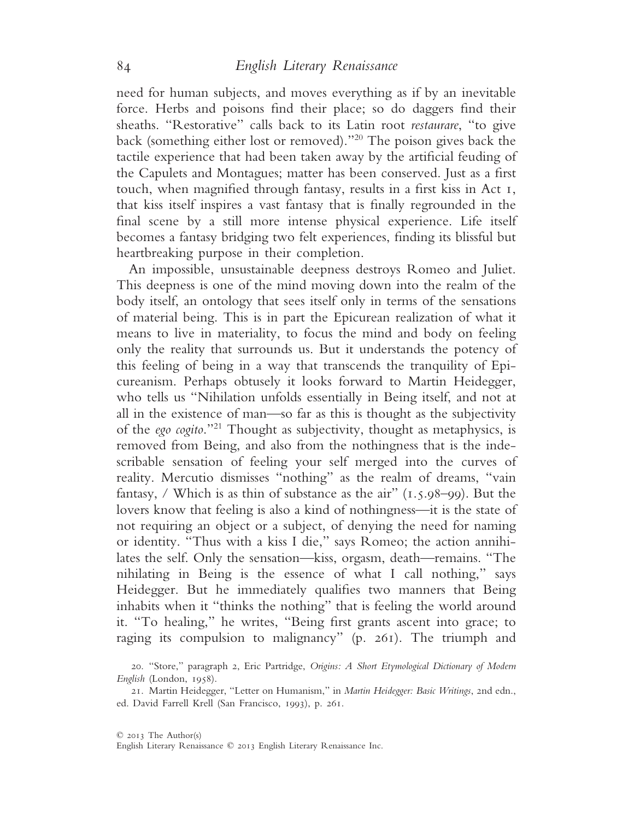need for human subjects, and moves everything as if by an inevitable force. Herbs and poisons find their place; so do daggers find their sheaths. "Restorative" calls back to its Latin root *restaurare*, "to give back (something either lost or removed)."20 The poison gives back the tactile experience that had been taken away by the artificial feuding of the Capulets and Montagues; matter has been conserved. Just as a first touch, when magnified through fantasy, results in a first kiss in Act 1, that kiss itself inspires a vast fantasy that is finally regrounded in the final scene by a still more intense physical experience. Life itself becomes a fantasy bridging two felt experiences, finding its blissful but heartbreaking purpose in their completion.

An impossible, unsustainable deepness destroys Romeo and Juliet. This deepness is one of the mind moving down into the realm of the body itself, an ontology that sees itself only in terms of the sensations of material being. This is in part the Epicurean realization of what it means to live in materiality, to focus the mind and body on feeling only the reality that surrounds us. But it understands the potency of this feeling of being in a way that transcends the tranquility of Epicureanism. Perhaps obtusely it looks forward to Martin Heidegger, who tells us "Nihilation unfolds essentially in Being itself, and not at all in the existence of man—so far as this is thought as the subjectivity of the *ego cogito*."21 Thought as subjectivity, thought as metaphysics, is removed from Being, and also from the nothingness that is the indescribable sensation of feeling your self merged into the curves of reality. Mercutio dismisses "nothing" as the realm of dreams, "vain fantasy, / Which is as thin of substance as the air"  $(1.5.98-99)$ . But the lovers know that feeling is also a kind of nothingness—it is the state of not requiring an object or a subject, of denying the need for naming or identity. "Thus with a kiss I die," says Romeo; the action annihilates the self. Only the sensation—kiss, orgasm, death—remains. "The nihilating in Being is the essence of what I call nothing," says Heidegger. But he immediately qualifies two manners that Being inhabits when it "thinks the nothing" that is feeling the world around it. "To healing," he writes, "Being first grants ascent into grace; to raging its compulsion to malignancy" (p. 261). The triumph and

<sup>20</sup>. "Store," paragraph 2, Eric Partridge, *Origins: A Short Etymological Dictionary of Modern English* (London, 1958).

<sup>21</sup>. Martin Heidegger, "Letter on Humanism," in *Martin Heidegger: Basic Writings*, 2nd edn., ed. David Farrell Krell (San Francisco, 1993), p. 261.

English Literary Renaissance © 2013 English Literary Renaissance Inc.